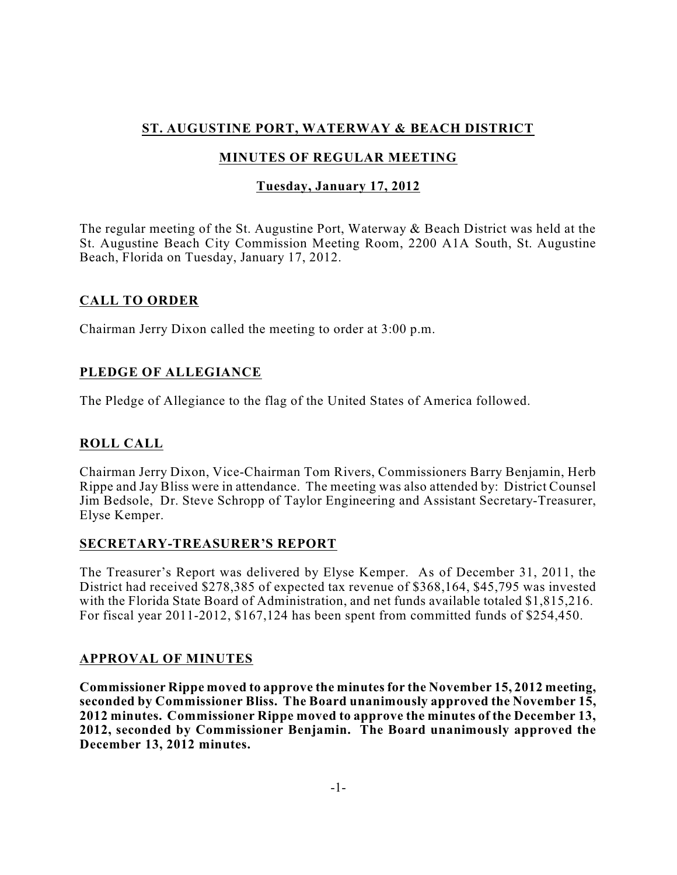# **ST. AUGUSTINE PORT, WATERWAY & BEACH DISTRICT**

# **MINUTES OF REGULAR MEETING**

## **Tuesday, January 17, 2012**

The regular meeting of the St. Augustine Port, Waterway & Beach District was held at the St. Augustine Beach City Commission Meeting Room, 2200 A1A South, St. Augustine Beach, Florida on Tuesday, January 17, 2012.

## **CALL TO ORDER**

Chairman Jerry Dixon called the meeting to order at 3:00 p.m.

## **PLEDGE OF ALLEGIANCE**

The Pledge of Allegiance to the flag of the United States of America followed.

# **ROLL CALL**

Chairman Jerry Dixon, Vice-Chairman Tom Rivers, Commissioners Barry Benjamin, Herb Rippe and Jay Bliss were in attendance. The meeting was also attended by: District Counsel Jim Bedsole, Dr. Steve Schropp of Taylor Engineering and Assistant Secretary-Treasurer, Elyse Kemper.

## **SECRETARY-TREASURER'S REPORT**

The Treasurer's Report was delivered by Elyse Kemper. As of December 31, 2011, the District had received \$278,385 of expected tax revenue of \$368,164, \$45,795 was invested with the Florida State Board of Administration, and net funds available totaled \$1,815,216. For fiscal year 2011-2012, \$167,124 has been spent from committed funds of \$254,450.

### **APPROVAL OF MINUTES**

**Commissioner Rippe moved to approve the minutesfor the November 15, 2012 meeting, seconded by Commissioner Bliss. The Board unanimously approved the November 15, 2012 minutes. Commissioner Rippe moved to approve the minutes of the December 13, 2012, seconded by Commissioner Benjamin. The Board unanimously approved the December 13, 2012 minutes.**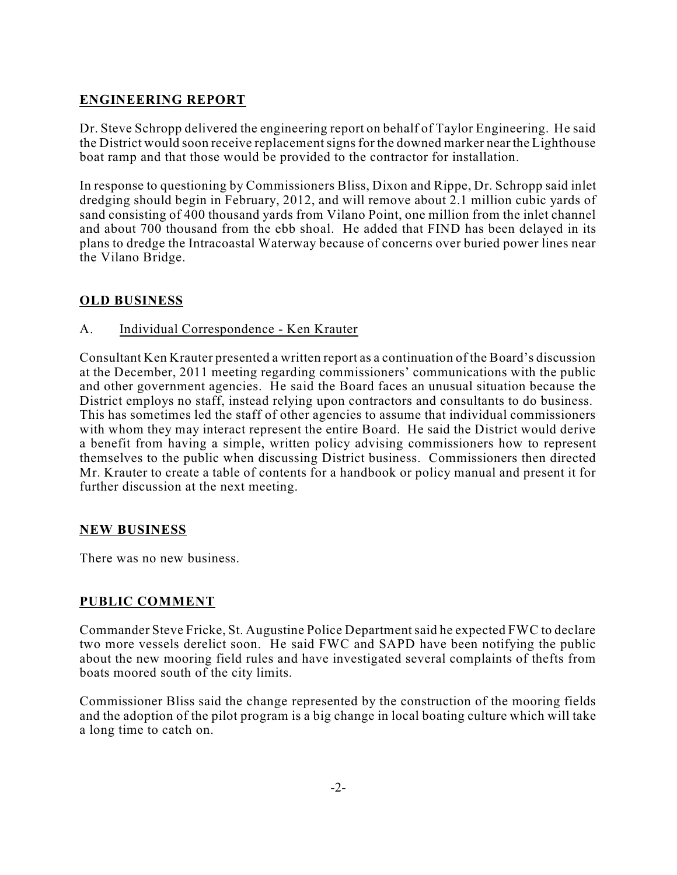# **ENGINEERING REPORT**

Dr. Steve Schropp delivered the engineering report on behalf of Taylor Engineering. He said the District would soon receive replacementsignsfor the downed marker near the Lighthouse boat ramp and that those would be provided to the contractor for installation.

In response to questioning by Commissioners Bliss, Dixon and Rippe, Dr. Schropp said inlet dredging should begin in February, 2012, and will remove about 2.1 million cubic yards of sand consisting of 400 thousand yards from Vilano Point, one million from the inlet channel and about 700 thousand from the ebb shoal. He added that FIND has been delayed in its plans to dredge the Intracoastal Waterway because of concerns over buried power lines near the Vilano Bridge.

# **OLD BUSINESS**

## A. Individual Correspondence - Ken Krauter

Consultant Ken Krauter presented a written report as a continuation of the Board's discussion at the December, 2011 meeting regarding commissioners' communications with the public and other government agencies. He said the Board faces an unusual situation because the District employs no staff, instead relying upon contractors and consultants to do business. This has sometimes led the staff of other agencies to assume that individual commissioners with whom they may interact represent the entire Board. He said the District would derive a benefit from having a simple, written policy advising commissioners how to represent themselves to the public when discussing District business. Commissioners then directed Mr. Krauter to create a table of contents for a handbook or policy manual and present it for further discussion at the next meeting.

## **NEW BUSINESS**

There was no new business.

## **PUBLIC COMMENT**

Commander Steve Fricke, St. Augustine Police Departmentsaid he expected FWC to declare two more vessels derelict soon. He said FWC and SAPD have been notifying the public about the new mooring field rules and have investigated several complaints of thefts from boats moored south of the city limits.

Commissioner Bliss said the change represented by the construction of the mooring fields and the adoption of the pilot program is a big change in local boating culture which will take a long time to catch on.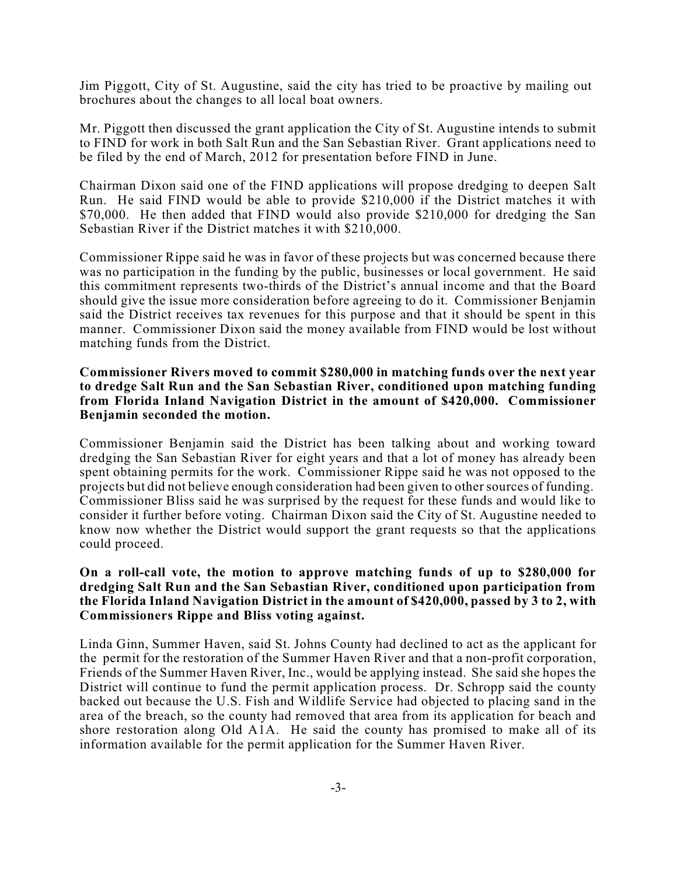Jim Piggott, City of St. Augustine, said the city has tried to be proactive by mailing out brochures about the changes to all local boat owners.

Mr. Piggott then discussed the grant application the City of St. Augustine intends to submit to FIND for work in both Salt Run and the San Sebastian River. Grant applications need to be filed by the end of March, 2012 for presentation before FIND in June.

Chairman Dixon said one of the FIND applications will propose dredging to deepen Salt Run. He said FIND would be able to provide \$210,000 if the District matches it with \$70,000. He then added that FIND would also provide \$210,000 for dredging the San Sebastian River if the District matches it with \$210,000.

Commissioner Rippe said he was in favor of these projects but was concerned because there was no participation in the funding by the public, businesses or local government. He said this commitment represents two-thirds of the District's annual income and that the Board should give the issue more consideration before agreeing to do it. Commissioner Benjamin said the District receives tax revenues for this purpose and that it should be spent in this manner. Commissioner Dixon said the money available from FIND would be lost without matching funds from the District.

#### **Commissioner Rivers moved to commit \$280,000 in matching funds over the next year to dredge Salt Run and the San Sebastian River, conditioned upon matching funding from Florida Inland Navigation District in the amount of \$420,000. Commissioner Benjamin seconded the motion.**

Commissioner Benjamin said the District has been talking about and working toward dredging the San Sebastian River for eight years and that a lot of money has already been spent obtaining permits for the work. Commissioner Rippe said he was not opposed to the projects but did not believe enough consideration had been given to other sources of funding. Commissioner Bliss said he was surprised by the request for these funds and would like to consider it further before voting. Chairman Dixon said the City of St. Augustine needed to know now whether the District would support the grant requests so that the applications could proceed.

#### **On a roll-call vote, the motion to approve matching funds of up to \$280,000 for dredging Salt Run and the San Sebastian River, conditioned upon participation from the Florida Inland Navigation District in the amount of \$420,000, passed by 3 to 2, with Commissioners Rippe and Bliss voting against.**

Linda Ginn, Summer Haven, said St. Johns County had declined to act as the applicant for the permit for the restoration of the Summer Haven River and that a non-profit corporation, Friends of the Summer Haven River, Inc., would be applying instead. She said she hopes the District will continue to fund the permit application process. Dr. Schropp said the county backed out because the U.S. Fish and Wildlife Service had objected to placing sand in the area of the breach, so the county had removed that area from its application for beach and shore restoration along Old A1A. He said the county has promised to make all of its information available for the permit application for the Summer Haven River.